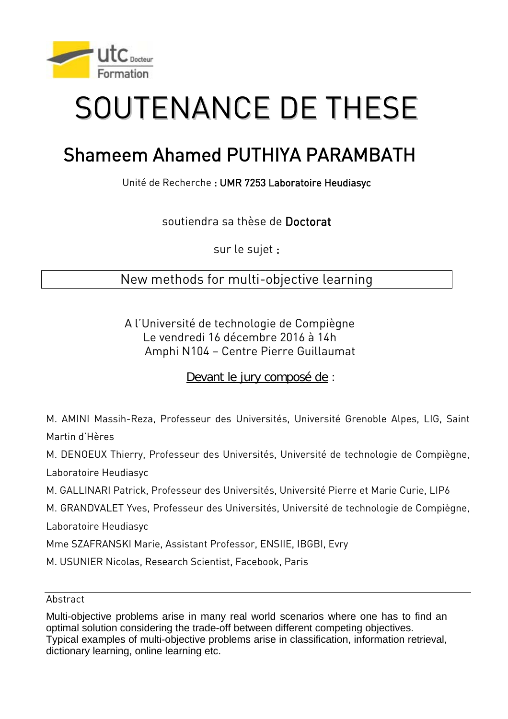

## SOUTENANCE DE THESE

## Shameem Ahamed PUTHIYA PARAMBATH

Unité de Recherche : UMR 7253 Laboratoire Heudiasyc

soutiendra sa thèse de Doctorat

sur le sujet :

## New methods for multi-objective learning

A l'Université de technologie de Compiègne Le vendredi 16 décembre 2016 à 14h Amphi N104 – Centre Pierre Guillaumat

Devant le jury composé de :

M. AMINI Massih-Reza, Professeur des Universités, Université Grenoble Alpes, LIG, Saint Martin d'Hères

M. DENOEUX Thierry, Professeur des Universités, Université de technologie de Compiègne,

Laboratoire Heudiasyc

M. GALLINARI Patrick, Professeur des Universités, Université Pierre et Marie Curie, LIP6

M. GRANDVALET Yves, Professeur des Universités, Université de technologie de Compiègne, Laboratoire Heudiasyc

Mme SZAFRANSKI Marie, Assistant Professor, ENSIIE, IBGBI, Evry

M. USUNIER Nicolas, Research Scientist, Facebook, Paris

Abstract

Multi-objective problems arise in many real world scenarios where one has to find an optimal solution considering the trade-off between different competing objectives. Typical examples of multi-objective problems arise in classification, information retrieval, dictionary learning, online learning etc.